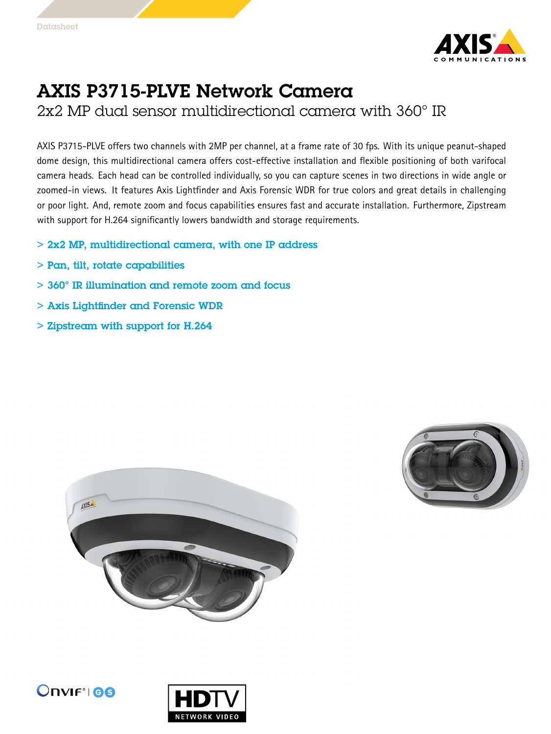

## AXIS P3715-PLVE Network Camera

2x2 MP dual sensor multidirectional camera with 360° IR

AXIS P3715-PLVE offers two channels with 2MP per channel, at <sup>a</sup> frame rate of 30 fps. With its unique peanut-shaped dome design, this multidirectional camera offers cost-effective installation and flexible positioning of both varifocal camera heads. Each head can be controlled individually, so you can capture scenes in two directions in wide angle or zoomed-in views. It features Axis Lightfinder and Axis Forensic WDR for true colors and great details in challenging or poor light. And, remote zoom and focus capabilities ensures fast and accurate installation. Furthermore, Zipstream with support for H.264 significantly lowers bandwidth and storage requirements.

- > 2x2 MP, multidirectional camera, with one IP address
- > Pan, tilt, rotate capabilities
- > 360° IR illumination and remote zoom and focus
- > Axis Lightfinder and Forensic WDR
- > Zipstream with support for H.264







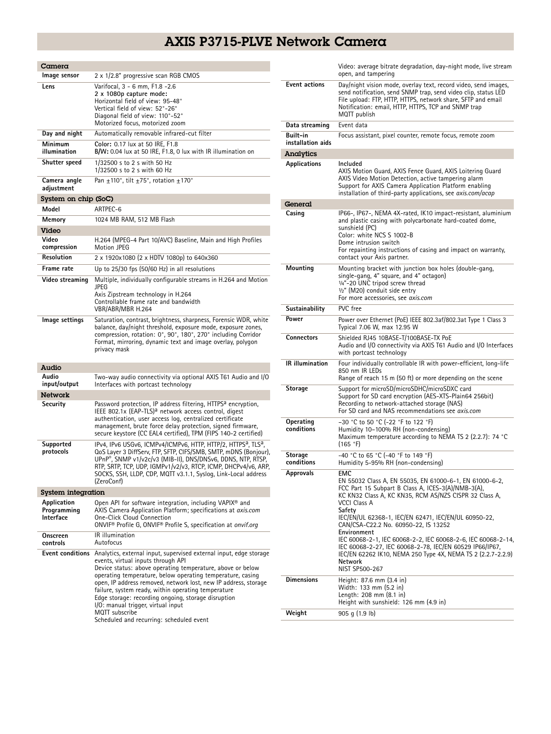## AXIS P3715-PLVE Network Camera

| Camera                                  |                                                                                                                                                                                                                                                                                                                                                                                                                                                                                                                                            |  |
|-----------------------------------------|--------------------------------------------------------------------------------------------------------------------------------------------------------------------------------------------------------------------------------------------------------------------------------------------------------------------------------------------------------------------------------------------------------------------------------------------------------------------------------------------------------------------------------------------|--|
| Image sensor                            | 2 x 1/2.8" progressive scan RGB CMOS                                                                                                                                                                                                                                                                                                                                                                                                                                                                                                       |  |
| Lens                                    | Varifocal, 3 - 6 mm, F1.8 -2.6<br>2 x 1080p capture mode:<br>Horizontal field of view: 95-48°<br>Vertical field of view: 52°-26°<br>Diagonal field of view: 110°-52°<br>Motorized focus, motorized zoom                                                                                                                                                                                                                                                                                                                                    |  |
| Day and night                           | Automatically removable infrared-cut filter                                                                                                                                                                                                                                                                                                                                                                                                                                                                                                |  |
| Minimum<br>illumination                 | Color: 0.17 lux at 50 IRE, F1.8<br>B/W: 0.04 lux at 50 IRE, F1.8, 0 lux with IR illumination on                                                                                                                                                                                                                                                                                                                                                                                                                                            |  |
| Shutter speed                           | 1/32500 s to 2 s with 50 Hz<br>1/32500 s to 2 s with 60 Hz                                                                                                                                                                                                                                                                                                                                                                                                                                                                                 |  |
| Camera angle<br>adjustment              | Pan $\pm$ 110°, tilt $\pm$ 75°, rotation $\pm$ 170°                                                                                                                                                                                                                                                                                                                                                                                                                                                                                        |  |
| System on chip (SoC)                    |                                                                                                                                                                                                                                                                                                                                                                                                                                                                                                                                            |  |
| Model                                   | ARTPEC-6                                                                                                                                                                                                                                                                                                                                                                                                                                                                                                                                   |  |
| Memory                                  | 1024 MB RAM, 512 MB Flash                                                                                                                                                                                                                                                                                                                                                                                                                                                                                                                  |  |
| Video<br>Video<br>compression           | H.264 (MPEG-4 Part 10/AVC) Baseline, Main and High Profiles<br>Motion JPEG                                                                                                                                                                                                                                                                                                                                                                                                                                                                 |  |
| Resolution                              | 2 x 1920x1080 (2 x HDTV 1080p) to 640x360                                                                                                                                                                                                                                                                                                                                                                                                                                                                                                  |  |
| Frame rate                              | Up to 25/30 fps (50/60 Hz) in all resolutions                                                                                                                                                                                                                                                                                                                                                                                                                                                                                              |  |
| Video streaming                         | Multiple, individually configurable streams in H.264 and Motion<br><b>JPEG</b><br>Axis Zipstream technology in H.264<br>Controllable frame rate and bandwidth<br>VBR/ABR/MBR H.264                                                                                                                                                                                                                                                                                                                                                         |  |
| lmage settings                          | Saturation, contrast, brightness, sharpness, Forensic WDR, white<br>balance, day/night threshold, exposure mode, exposure zones,<br>compression, rotation: 0°, 90°, 180°, 270° including Corridor<br>Format, mirroring, dynamic text and image overlay, polygon<br>privacy mask                                                                                                                                                                                                                                                            |  |
| Audio                                   |                                                                                                                                                                                                                                                                                                                                                                                                                                                                                                                                            |  |
| Audio<br>input/output                   | Two-way audio connectivity via optional AXIS T61 Audio and I/O<br>Interfaces with portcast technology                                                                                                                                                                                                                                                                                                                                                                                                                                      |  |
| Network                                 |                                                                                                                                                                                                                                                                                                                                                                                                                                                                                                                                            |  |
| Security                                | Password protection, IP address filtering, HTTPS <sup>a</sup> encryption,<br>IEEE 802.1x (EAP-TLS) <sup>a</sup> network access control, digest<br>authentication, user access log, centralized certificate<br>management, brute force delay protection, signed firmware,<br>secure keystore (CC EAL4 certified), TPM (FIPS 140-2 certified)                                                                                                                                                                                                |  |
| Supported<br>protocols                  | IPv4, IPv6 USGv6, ICMPv4/ICMPv6, HTTP, HTTP/2, HTTPS <sup>a</sup> , TLS <sup>a</sup> ,<br>QoS Layer 3 DiffServ, FTP, SFTP, CIFS/SMB, SMTP, mDNS (Bonjour),<br>UPnP®, SNMP v1/v2c/v3 (MIB-II), DNS/DNSv6, DDNS, NTP, RTSP,<br>RTP, SRTP, TCP, UDP, IGMPv1/v2/v3, RTCP, ICMP, DHCPv4/v6, ARP,<br>SOCKS, SSH, LLDP, CDP, MQTT v3.1.1, Syslog, Link-Local address<br>(ZeroConf)                                                                                                                                                                |  |
| <b>System integration</b>               |                                                                                                                                                                                                                                                                                                                                                                                                                                                                                                                                            |  |
| Application<br>Programming<br>Interface | Open API for software integration, including VAPIX <sup>®</sup> and<br>AXIS Camera Application Platform; specifications at axis.com<br>One-Click Cloud Connection<br>ONVIF® Profile G, ONVIF® Profile S, specification at onvif.org                                                                                                                                                                                                                                                                                                        |  |
| Onscreen<br>controls                    | IR illumination<br>Autofocus                                                                                                                                                                                                                                                                                                                                                                                                                                                                                                               |  |
|                                         | Event conditions Analytics, external input, supervised external input, edge storage<br>events, virtual inputs through API<br>Device status: above operating temperature, above or below<br>operating temperature, below operating temperature, casing<br>open, IP address removed, network lost, new IP address, storage<br>failure, system ready, within operating temperature<br>Edge storage: recording ongoing, storage disruption<br>I/O: manual trigger, virtual input<br>MQTT subscribe<br>Scheduled and recurring: scheduled event |  |

|                               | Video: average bitrate degradation, day-night mode, live stream<br>open, and tampering                                                                                                                                                                                                                                                                                                                                                                                                                                                          |
|-------------------------------|-------------------------------------------------------------------------------------------------------------------------------------------------------------------------------------------------------------------------------------------------------------------------------------------------------------------------------------------------------------------------------------------------------------------------------------------------------------------------------------------------------------------------------------------------|
| <b>Event actions</b>          | Day/night vision mode, overlay text, record video, send images,<br>send notification, send SNMP trap, send video clip, status LED<br>File upload: FTP, HTTP, HTTPS, network share, SFTP and email<br>Notification: email, HTTP, HTTPS, TCP and SNMP trap<br>MQTT publish                                                                                                                                                                                                                                                                        |
| Data streaming                | Event data                                                                                                                                                                                                                                                                                                                                                                                                                                                                                                                                      |
| Built-in<br>installation aids | Focus assistant, pixel counter, remote focus, remote zoom                                                                                                                                                                                                                                                                                                                                                                                                                                                                                       |
| Analytics                     |                                                                                                                                                                                                                                                                                                                                                                                                                                                                                                                                                 |
| <b>Applications</b>           | Included                                                                                                                                                                                                                                                                                                                                                                                                                                                                                                                                        |
|                               | AXIS Motion Guard, AXIS Fence Guard, AXIS Loitering Guard<br>AXIS Video Motion Detection, active tampering alarm<br>Support for AXIS Camera Application Platform enabling<br>installation of third-party applications, see <i>axis.com/acap</i>                                                                                                                                                                                                                                                                                                 |
| General                       |                                                                                                                                                                                                                                                                                                                                                                                                                                                                                                                                                 |
| Casing                        | IP66-, IP67-, NEMA 4X-rated, IK10 impact-resistant, aluminium<br>and plastic casing with polycarbonate hard-coated dome,<br>sunshield (PC)<br>Color: white NCS S 1002-B<br>Dome intrusion switch<br>For repainting instructions of casing and impact on warranty,<br>contact your Axis partner.                                                                                                                                                                                                                                                 |
| Mounting                      | Mounting bracket with junction box holes (double-gang,<br>single-gang, 4" square, and 4" octagon)<br>1/4"-20 UNC tripod screw thread<br>1/2" (M20) conduit side entry<br>For more accessories, see axis.com                                                                                                                                                                                                                                                                                                                                     |
| Sustainability                | PVC free                                                                                                                                                                                                                                                                                                                                                                                                                                                                                                                                        |
| Power                         | Power over Ethernet (PoE) IEEE 802.3af/802.3at Type 1 Class 3<br>Typical 7.06 W, max 12.95 W                                                                                                                                                                                                                                                                                                                                                                                                                                                    |
| Connectors                    | Shielded RJ45 10BASE-T/100BASE-TX PoE<br>Audio and I/O connectivity via AXIS T61 Audio and I/O Interfaces<br>with portcast technology                                                                                                                                                                                                                                                                                                                                                                                                           |
| <b>IR</b> illumination        | Four individually controllable IR with power-efficient, long-life<br>850 nm IR LEDs<br>Range of reach 15 m (50 ft) or more depending on the scene                                                                                                                                                                                                                                                                                                                                                                                               |
| Storage                       | Support for microSD/microSDHC/microSDXC card<br>Support for SD card encryption (AES-XTS-Plain64 256bit)<br>Recording to network-attached storage (NAS)<br>For SD card and NAS recommendations see axis.com                                                                                                                                                                                                                                                                                                                                      |
| Operating<br>conditions       | -30 °C to 50 °C (-22 °F to 122 °F)<br>Humidity 10-100% RH (non-condensing)<br>Maximum temperature according to NEMA TS 2 (2.2.7): 74 °C<br>(165 °F)                                                                                                                                                                                                                                                                                                                                                                                             |
| <b>Storage</b><br>conditions  | -40 °C to 65 °C (-40 °F to 149 °F)<br>Humidity 5-95% RH (non-condensing)                                                                                                                                                                                                                                                                                                                                                                                                                                                                        |
| <b>Approvals</b>              | EMC<br>EN 55032 Class A, EN 55035, EN 61000-6-1, EN 61000-6-2,<br>FCC Part 15 Subpart B Class A, ICES-3(A)/NMB-3(A),<br>KC KN32 Class A, KC KN35, RCM AS/NZS CISPR 32 Class A,<br>VCCI Class A<br>Safety<br>IEC/EN/UL 62368-1, IEC/EN 62471, IEC/EN/UL 60950-22,<br>CAN/CSA-C22.2 No. 60950-22, IS 13252<br>Environment<br>IEC 60068-2-1, IEC 60068-2-2, IEC 60068-2-6, IEC 60068-2-14,<br>IEC 60068-2-27, IEC 60068-2-78, IEC/EN 60529 IP66/IP67,<br>IEC/EN 62262 IK10, NEMA 250 Type 4X, NEMA TS 2 (2.2.7-2.2.9)<br>Network<br>NIST SP500-267 |
| Dimensions                    | Height: 87.6 mm (3.4 in)<br>Width: 133 mm (5.2 in)<br>Length: 208 mm (8.1 in)<br>Height with sunshield: 126 mm (4.9 in)                                                                                                                                                                                                                                                                                                                                                                                                                         |
| Weight                        | 905q(1.9 lb)                                                                                                                                                                                                                                                                                                                                                                                                                                                                                                                                    |